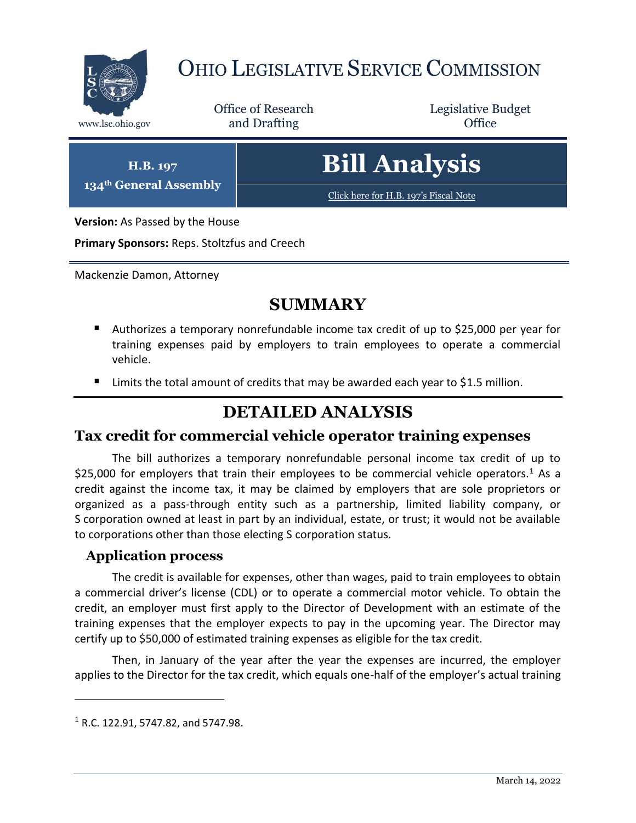

## OHIO LEGISLATIVE SERVICE COMMISSION

Office of Research www.lsc.ohio.gov **and Drafting Office** 

Legislative Budget

**H.B. 197 134th General Assembly**

# **Bill Analysis**

[Click here for H.B. 197](https://www.legislature.ohio.gov/legislation/legislation-documents?id=GA134-HB-197)'s Fiscal Note

**Version:** As Passed by the House

**Primary Sponsors:** Reps. Stoltzfus and Creech

Mackenzie Damon, Attorney

## **SUMMARY**

- Authorizes a temporary nonrefundable income tax credit of up to \$25,000 per year for training expenses paid by employers to train employees to operate a commercial vehicle.
- Limits the total amount of credits that may be awarded each year to \$1.5 million.

## **DETAILED ANALYSIS**

#### **Tax credit for commercial vehicle operator training expenses**

The bill authorizes a temporary nonrefundable personal income tax credit of up to \$25,000 for employers that train their employees to be commercial vehicle operators.<sup>1</sup> As a credit against the income tax, it may be claimed by employers that are sole proprietors or organized as a pass-through entity such as a partnership, limited liability company, or S corporation owned at least in part by an individual, estate, or trust; it would not be available to corporations other than those electing S corporation status.

#### **Application process**

The credit is available for expenses, other than wages, paid to train employees to obtain a commercial driver's license (CDL) or to operate a commercial motor vehicle. To obtain the credit, an employer must first apply to the Director of Development with an estimate of the training expenses that the employer expects to pay in the upcoming year. The Director may certify up to \$50,000 of estimated training expenses as eligible for the tax credit.

Then, in January of the year after the year the expenses are incurred, the employer applies to the Director for the tax credit, which equals one-half of the employer's actual training

 $\overline{a}$ 

 $1$  R.C. 122.91, 5747.82, and 5747.98.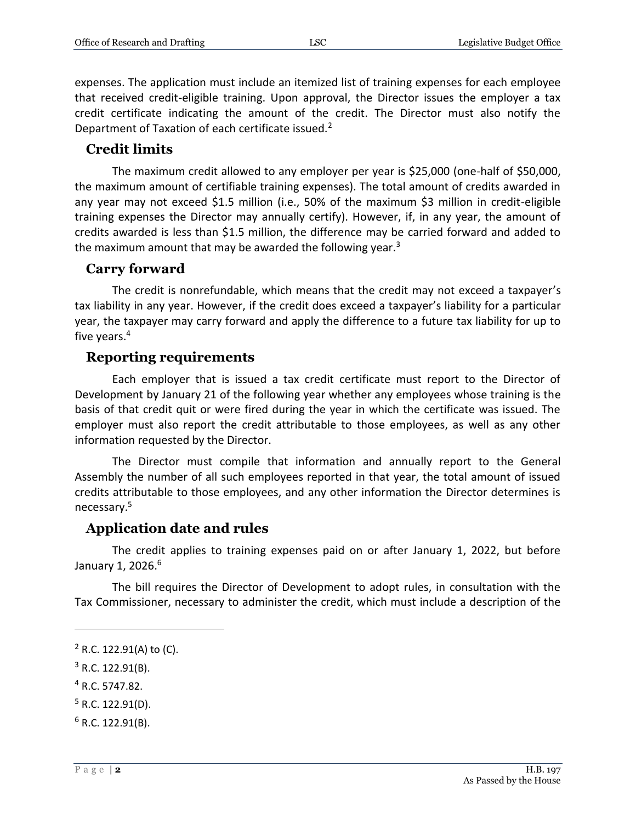expenses. The application must include an itemized list of training expenses for each employee that received credit-eligible training. Upon approval, the Director issues the employer a tax credit certificate indicating the amount of the credit. The Director must also notify the Department of Taxation of each certificate issued.<sup>2</sup>

#### **Credit limits**

The maximum credit allowed to any employer per year is \$25,000 (one-half of \$50,000, the maximum amount of certifiable training expenses). The total amount of credits awarded in any year may not exceed \$1.5 million (i.e., 50% of the maximum \$3 million in credit-eligible training expenses the Director may annually certify). However, if, in any year, the amount of credits awarded is less than \$1.5 million, the difference may be carried forward and added to the maximum amount that may be awarded the following year. $3$ 

#### **Carry forward**

The credit is nonrefundable, which means that the credit may not exceed a taxpayer's tax liability in any year. However, if the credit does exceed a taxpayer's liability for a particular year, the taxpayer may carry forward and apply the difference to a future tax liability for up to five years.<sup>4</sup>

#### **Reporting requirements**

Each employer that is issued a tax credit certificate must report to the Director of Development by January 21 of the following year whether any employees whose training is the basis of that credit quit or were fired during the year in which the certificate was issued. The employer must also report the credit attributable to those employees, as well as any other information requested by the Director.

The Director must compile that information and annually report to the General Assembly the number of all such employees reported in that year, the total amount of issued credits attributable to those employees, and any other information the Director determines is necessary.<sup>5</sup>

#### **Application date and rules**

The credit applies to training expenses paid on or after January 1, 2022, but before January 1, 2026.<sup>6</sup>

The bill requires the Director of Development to adopt rules, in consultation with the Tax Commissioner, necessary to administer the credit, which must include a description of the

<sup>4</sup> R.C. 5747.82.

 $\overline{a}$ 

 $2$  R.C. 122.91(A) to (C).

<sup>3</sup> R.C. 122.91(B).

 $5$  R.C. 122.91(D).

 $6$  R.C. 122.91(B).